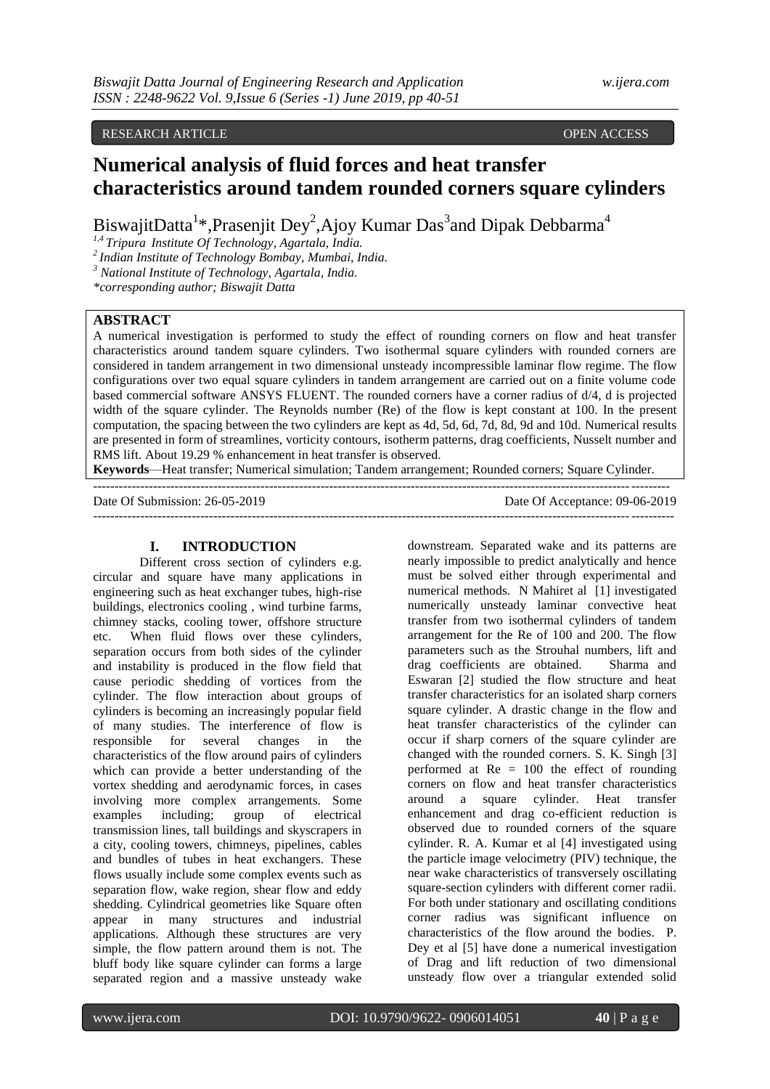## RESEARCH ARTICLE **CONSERVERS** OPEN ACCESS **OPEN ACCESS**

# **Numerical analysis of fluid forces and heat transfer characteristics around tandem rounded corners square cylinders**

BiswajitDatta<sup>1\*</sup>,Prasenjit Dey<sup>2</sup>,Ajoy Kumar Das<sup>3</sup>and Dipak Debbarma<sup>4</sup>

*1,4 Tripura Institute Of Technology, Agartala, India.*

*<sup>2</sup>Indian Institute of Technology Bombay, Mumbai, India.*

*<sup>3</sup> National Institute of Technology, Agartala, India.*

*\*corresponding author; Biswajit Datta*

# **ABSTRACT**

A numerical investigation is performed to study the effect of rounding corners on flow and heat transfer characteristics around tandem square cylinders. Two isothermal square cylinders with rounded corners are considered in tandem arrangement in two dimensional unsteady incompressible laminar flow regime. The flow configurations over two equal square cylinders in tandem arrangement are carried out on a finite volume code based commercial software ANSYS FLUENT. The rounded corners have a corner radius of d/4, d is projected width of the square cylinder. The Reynolds number (Re) of the flow is kept constant at 100. In the present computation, the spacing between the two cylinders are kept as 4d, 5d, 6d, 7d, 8d, 9d and 10d. Numerical results are presented in form of streamlines, vorticity contours, isotherm patterns, drag coefficients, Nusselt number and RMS lift. About 19.29 % enhancement in heat transfer is observed.

**Keywords**—Heat transfer; Numerical simulation; Tandem arrangement; Rounded corners; Square Cylinder. --------------------------------------------------------------------------------------------------------------------------------------

---------------------------------------------------------------------------------------------------------------------------------------

Date Of Submission: 26-05-2019 Date Of Acceptance: 09-06-2019

#### **I. INTRODUCTION**

Different cross section of cylinders e.g. circular and square have many applications in engineering such as heat exchanger tubes, high-rise buildings, electronics cooling , wind turbine farms, chimney stacks, cooling tower, offshore structure etc. When fluid flows over these cylinders, separation occurs from both sides of the cylinder and instability is produced in the flow field that cause periodic shedding of vortices from the cylinder. The flow interaction about groups of cylinders is becoming an increasingly popular field of many studies. The interference of flow is responsible for several changes in the characteristics of the flow around pairs of cylinders which can provide a better understanding of the vortex shedding and aerodynamic forces, in cases involving more complex arrangements. Some examples including; group of electrical transmission lines, tall buildings and skyscrapers in a city, cooling towers, chimneys, pipelines, cables and bundles of tubes in heat exchangers. These flows usually include some complex events such as separation flow, wake region, shear flow and eddy shedding. Cylindrical geometries like Square often appear in many structures and industrial applications. Although these structures are very simple, the flow pattern around them is not. The bluff body like square cylinder can forms a large separated region and a massive unsteady wake

downstream. Separated wake and its patterns are nearly impossible to predict analytically and hence must be solved either through experimental and numerical methods. N Mahiret al [1] investigated numerically unsteady laminar convective heat transfer from two isothermal cylinders of tandem arrangement for the Re of 100 and 200. The flow parameters such as the Strouhal numbers, lift and drag coefficients are obtained. Sharma and Eswaran [2] studied the flow structure and heat transfer characteristics for an isolated sharp corners square cylinder. A drastic change in the flow and heat transfer characteristics of the cylinder can occur if sharp corners of the square cylinder are changed with the rounded corners. S. K. Singh [3] performed at  $Re = 100$  the effect of rounding corners on flow and heat transfer characteristics around a square cylinder. Heat transfer enhancement and drag co-efficient reduction is observed due to rounded corners of the square cylinder. R. A. Kumar et al [4] investigated using the particle image velocimetry (PIV) technique, the near wake characteristics of transversely oscillating square-section cylinders with different corner radii. For both under stationary and oscillating conditions corner radius was significant influence on characteristics of the flow around the bodies. P. Dey et al [5] have done a numerical investigation of Drag and lift reduction of two dimensional unsteady flow over a triangular extended solid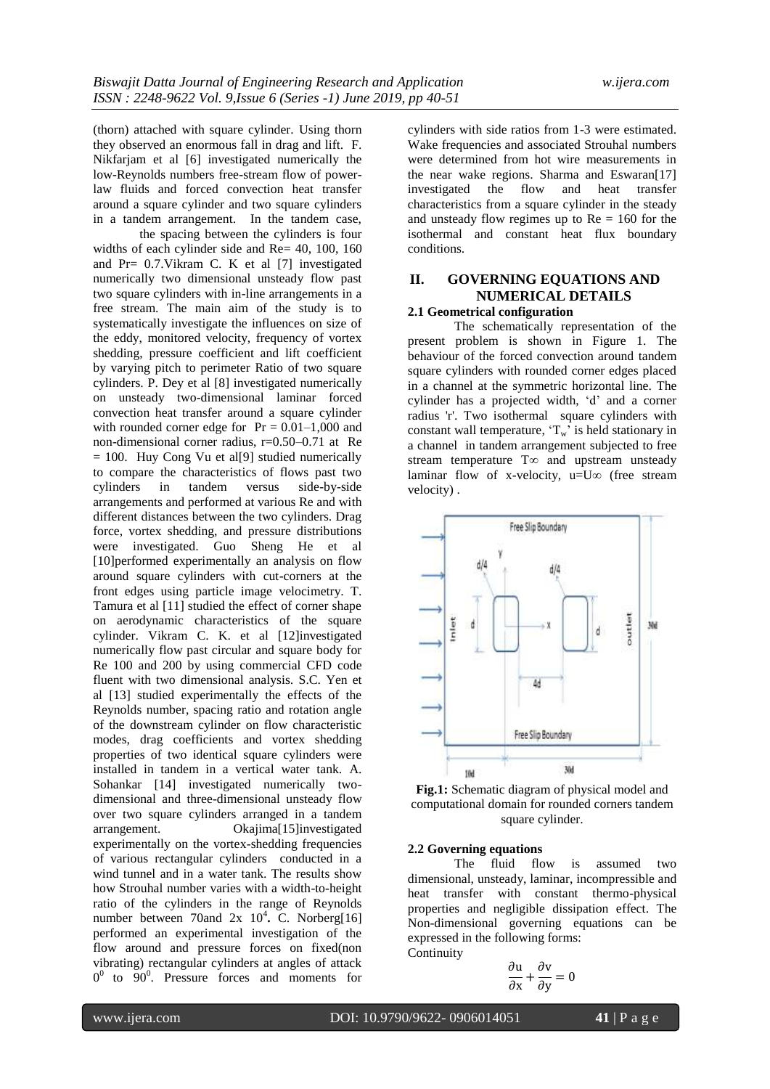(thorn) attached with square cylinder. Using thorn they observed an enormous fall in drag and lift. F. Nikfarjam et al [6] investigated numerically the low-Reynolds numbers free-stream flow of powerlaw fluids and forced convection heat transfer around a square cylinder and two square cylinders in a tandem arrangement. In the tandem case,

the spacing between the cylinders is four widths of each cylinder side and Re= 40, 100, 160 and  $Pr = 0.7$ . Vikram C. K et al [7] investigated numerically two dimensional unsteady flow past two square cylinders with in-line arrangements in a free stream. The main aim of the study is to systematically investigate the influences on size of the eddy, monitored velocity, frequency of vortex shedding, pressure coefficient and lift coefficient by varying pitch to perimeter Ratio of two square cylinders. P. Dey et al [8] investigated numerically on unsteady two-dimensional laminar forced convection heat transfer around a square cylinder with rounded corner edge for  $Pr = 0.01-1,000$  and non-dimensional corner radius, r=0.50–0.71 at Re  $= 100$ . Huy Cong Vu et also studied numerically to compare the characteristics of flows past two cylinders in tandem versus side-by-side arrangements and performed at various Re and with different distances between the two cylinders. Drag force, vortex shedding, and pressure distributions were investigated. Guo Sheng He et al [10] performed experimentally an analysis on flow around square cylinders with cut-corners at the front edges using particle image velocimetry. T. Tamura et al [11] studied the effect of corner shape on aerodynamic characteristics of the square cylinder. Vikram C. K. et al [12]investigated numerically flow past circular and square body for Re 100 and 200 by using commercial CFD code fluent with two dimensional analysis. S.C. Yen et al [13] studied experimentally the effects of the Reynolds number, spacing ratio and rotation angle of the downstream cylinder on flow characteristic modes, drag coefficients and vortex shedding properties of two identical square cylinders were installed in tandem in a vertical water tank. A. Sohankar [14] investigated numerically twodimensional and three-dimensional unsteady flow over two square cylinders arranged in a tandem arrangement. Okajima[15]investigated experimentally on the vortex-shedding frequencies of various rectangular cylinders conducted in a wind tunnel and in a water tank. The results show how Strouhal number varies with a width-to-height ratio of the cylinders in the range of Reynolds number between 70and 2x 10<sup>4</sup>. C. Norberg[16] performed an experimental investigation of the flow around and pressure forces on fixed(non vibrating) rectangular cylinders at angles of attack  $0^0$  to  $90^0$ . Pressure forces and moments for cylinders with side ratios from 1-3 were estimated. Wake frequencies and associated Strouhal numbers were determined from hot wire measurements in the near wake regions. Sharma and Eswaran[17] investigated the flow and heat transfer characteristics from a square cylinder in the steady and unsteady flow regimes up to  $Re = 160$  for the isothermal and constant heat flux boundary conditions.

# **II. GOVERNING EQUATIONS AND NUMERICAL DETAILS**

#### **2.1 Geometrical configuration**

The schematically representation of the present problem is shown in Figure 1. The behaviour of the forced convection around tandem square cylinders with rounded corner edges placed in a channel at the symmetric horizontal line. The cylinder has a projected width, 'd' and a corner radius 'r'. Two isothermal square cylinders with constant wall temperature,  $T_w$  is held stationary in a channel in tandem arrangement subjected to free stream temperature T∞ and upstream unsteady laminar flow of x-velocity, u= $U\infty$  (free stream velocity) .



**Fig.1:** Schematic diagram of physical model and computational domain for rounded corners tandem square cylinder.

#### **2.2 Governing equations**

The fluid flow is assumed two dimensional, unsteady, laminar, incompressible and heat transfer with constant thermo-physical properties and negligible dissipation effect. The Non-dimensional governing equations can be expressed in the following forms: **Continuity** 

$$
\frac{\partial u}{\partial x} + \frac{\partial v}{\partial y} = 0
$$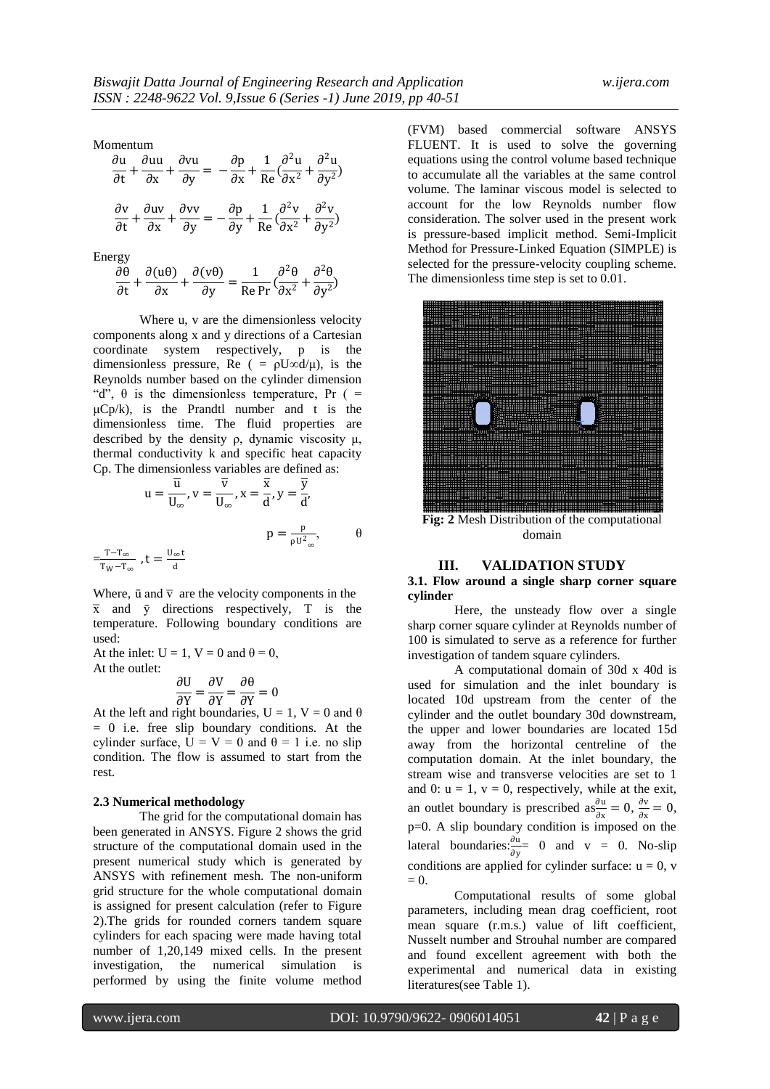Momentum

| $\overline{\partial t} + \overline{\partial x} + \overline{\partial y}$ | $\partial$ u $\partial$ uu $\partial$ vu                                                                                                                                                                                               |  | $\cdot \frac{\partial \mathbf{p}}{\partial \mathbf{x}} + \frac{1}{\mathrm{Re}} \big( \frac{\partial^2 \mathbf{u}}{\partial \mathbf{x}^2} + \frac{\partial^2 \mathbf{u}}{\partial \mathbf{y}^2} \big)$ |
|-------------------------------------------------------------------------|----------------------------------------------------------------------------------------------------------------------------------------------------------------------------------------------------------------------------------------|--|-------------------------------------------------------------------------------------------------------------------------------------------------------------------------------------------------------|
|                                                                         | $\frac{\partial v}{\partial t} + \frac{\partial uv}{\partial x} + \frac{\partial vv}{\partial y} = -\frac{\partial p}{\partial y} + \frac{1}{Re} \left( \frac{\partial^2 v}{\partial x^2} + \frac{\partial^2 v}{\partial y^2} \right)$ |  |                                                                                                                                                                                                       |

Energy

|              | $\partial \theta$ $\partial (u\theta)$ $\partial (v\theta)$ |              |  | $\partial^2 \theta$ $\partial^2 \theta$                                                                        |
|--------------|-------------------------------------------------------------|--------------|--|----------------------------------------------------------------------------------------------------------------|
| $\partial t$ | $\partial x$                                                | $\partial v$ |  | $\overline{\text{Re Pr}} \left( \frac{\partial x^2}{\partial x^2} + \frac{\partial y^2}{\partial y^2} \right)$ |

Where u, v are the dimensionless velocity components along x and y directions of a Cartesian coordinate system respectively, p is the dimensionless pressure, Re ( =  $\rho U \propto d/\mu$ ), is the Reynolds number based on the cylinder dimension "d",  $\theta$  is the dimensionless temperature, Pr ( =  $\mu$ Cp/k), is the Prandtl number and t is the dimensionless time. The fluid properties are described by the density ρ, dynamic viscosity μ, thermal conductivity k and specific heat capacity Cp. The dimensionless variables are defined as:

$$
u = \frac{\overline{u}}{U_{\infty}}, v = \frac{\overline{v}}{U_{\infty}}, x = \frac{\overline{x}}{d}, y = \frac{\overline{y}}{d'}
$$

$$
p = \frac{p}{\rho U^{2}_{\infty}}, \qquad \theta
$$

$$
= \frac{T - T_{\infty}}{T_{W} - T_{\infty}}, t = \frac{U_{\infty} t}{d}
$$

Where,  $\bar{u}$  and  $\bar{v}$  are the velocity components in the  $\bar{x}$  and  $\bar{y}$  directions respectively, T is the temperature. Following boundary conditions are used:

At the inlet:  $U = 1$ ,  $V = 0$  and  $\theta = 0$ , At the outlet:

> ∂U  $\frac{\partial U}{\partial Y} = \frac{\partial V}{\partial Y}$  $\frac{\partial V}{\partial Y} = \frac{\partial \theta}{\partial Y}$  $\frac{\partial}{\partial Y} = 0$

At the left and right boundaries,  $U = 1$ ,  $V = 0$  and  $\theta$ = 0 i.e. free slip boundary conditions. At the cylinder surface,  $U = V = 0$  and  $\theta = 1$  i.e. no slip condition. The flow is assumed to start from the rest.

#### **2.3 Numerical methodology**

The grid for the computational domain has been generated in ANSYS. Figure 2 shows the grid structure of the computational domain used in the present numerical study which is generated by ANSYS with refinement mesh. The non-uniform grid structure for the whole computational domain is assigned for present calculation (refer to Figure 2).The grids for rounded corners tandem square cylinders for each spacing were made having total number of 1,20,149 mixed cells. In the present investigation, the numerical simulation is performed by using the finite volume method

(FVM) based commercial software ANSYS FLUENT. It is used to solve the governing equations using the control volume based technique to accumulate all the variables at the same control volume. The laminar viscous model is selected to account for the low Reynolds number flow consideration. The solver used in the present work is pressure-based implicit method. Semi-Implicit Method for Pressure-Linked Equation (SIMPLE) is selected for the pressure-velocity coupling scheme. The dimensionless time step is set to 0.01.



**Fig: 2** Mesh Distribution of the computational domain

#### **III. VALIDATION STUDY**

#### **3.1. Flow around a single sharp corner square cylinder**

Here, the unsteady flow over a single sharp corner square cylinder at Reynolds number of 100 is simulated to serve as a reference for further investigation of tandem square cylinders.

A computational domain of 30d x 40d is used for simulation and the inlet boundary is located 10d upstream from the center of the cylinder and the outlet boundary 30d downstream, the upper and lower boundaries are located 15d away from the horizontal centreline of the computation domain. At the inlet boundary, the stream wise and transverse velocities are set to 1 and 0:  $u = 1$ ,  $v = 0$ , respectively, while at the exit, an outlet boundary is prescribed as  $\frac{\partial u}{\partial x}$  $\frac{\partial \mathbf{u}}{\partial \mathbf{x}} = 0, \frac{\partial \mathbf{v}}{\partial \mathbf{x}}$  $\frac{\partial v}{\partial x} = 0,$ p=0. A slip boundary condition is imposed on the lateral boundaries: $\frac{\partial u}{\partial y} = 0$  and v = 0. No-slip conditions are applied for cylinder surface:  $u = 0$ , v  $= 0.$ 

Computational results of some global parameters, including mean drag coefficient, root mean square (r.m.s.) value of lift coefficient, Nusselt number and Strouhal number are compared and found excellent agreement with both the experimental and numerical data in existing literatures(see Table 1).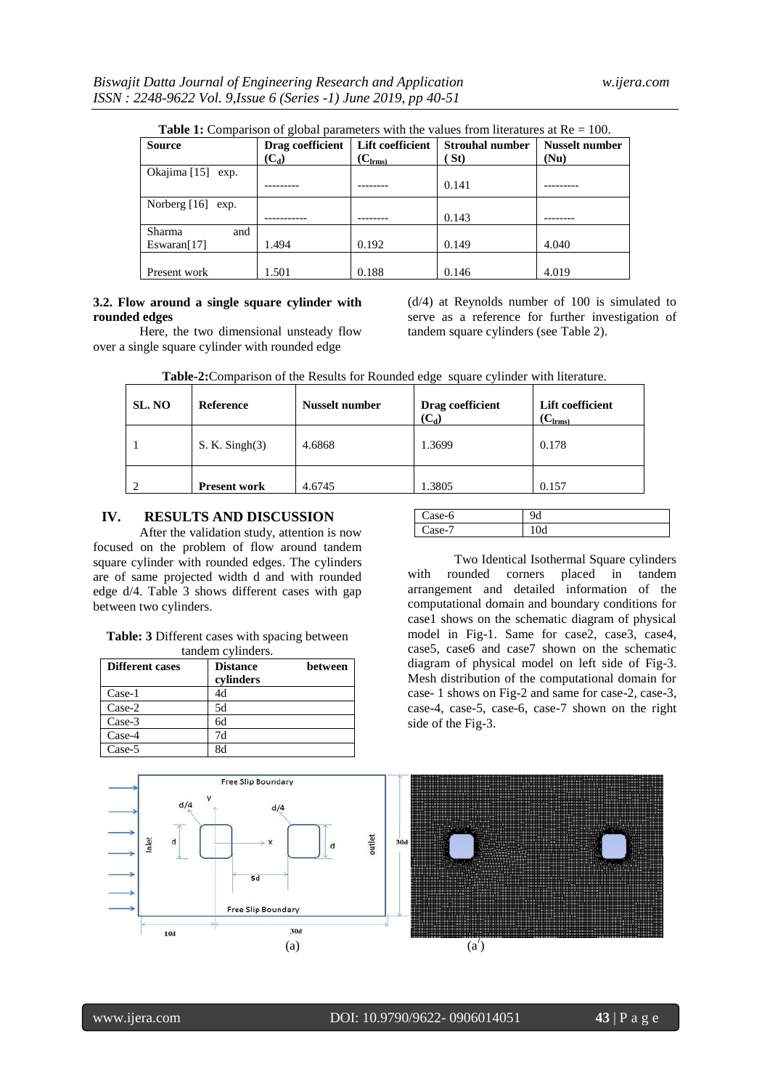| <b>Table 1:</b> Comparison of global parameters with the values from literatures at $Re = 100$ . |                  |                  |                        |                       |
|--------------------------------------------------------------------------------------------------|------------------|------------------|------------------------|-----------------------|
| Source                                                                                           | Drag coefficient | Lift coefficient | <b>Strouhal number</b> | <b>Nusselt number</b> |
|                                                                                                  | $(C_d)$          | $(C_{lrms)}$     | 'St)                   | (Nu)                  |
| Okajima [15] exp.                                                                                |                  |                  |                        |                       |
|                                                                                                  |                  |                  | 0.141                  |                       |
| Norberg $[16]$ exp.                                                                              |                  |                  |                        |                       |
|                                                                                                  |                  |                  | 0.143                  |                       |
| Sharma<br>and                                                                                    |                  |                  |                        |                       |
| Eswaran[17]                                                                                      | 1.494            | 0.192            | 0.149                  | 4.040                 |
|                                                                                                  |                  |                  |                        |                       |
| Present work                                                                                     | 1.501            | 0.188            | 0.146                  | 4.019                 |

**Table 1:** Comparison of global parameters with the values from literatures at  $Re = 100$ .

#### **3.2. Flow around a single square cylinder with rounded edges**

Here, the two dimensional unsteady flow over a single square cylinder with rounded edge

(d/4) at Reynolds number of 100 is simulated to serve as a reference for further investigation of tandem square cylinders (see Table 2).

| SL. NO | <b>Reference</b>    | <b>Nusselt number</b> | Drag coefficient<br>$(C_d)$ | Lift coefficient<br>$\mathbf{C}_{\text{lrms}}$ |
|--------|---------------------|-----------------------|-----------------------------|------------------------------------------------|
|        | $S. K.$ Singh $(3)$ | 4.6868                | 1.3699                      | 0.178                                          |
|        | <b>Present work</b> | 4.6745                | 1.3805                      | 0.157                                          |

**Table-2:**Comparison of the Results for Rounded edge square cylinder with literature.

# **IV. RESULTS AND DISCUSSION**

After the validation study, attention is now focused on the problem of flow around tandem square cylinder with rounded edges. The cylinders are of same projected width d and with rounded edge d/4. Table 3 shows different cases with gap between two cylinders.

#### **Table: 3** Different cases with spacing between tandem cylinders.

| <b>Different cases</b> | <b>Distance</b><br>cylinders | between |
|------------------------|------------------------------|---------|
| Case-1                 | 4d                           |         |
| Case-2                 | 5d                           |         |
| Case-3                 | бd                           |         |
| Case-4                 | 7d                           |         |
| Case-5                 | Rd                           |         |

| e-o   |    |
|-------|----|
| $P -$ | vu |

Two Identical Isothermal Square cylinders with rounded corners placed in tandem arrangement and detailed information of the computational domain and boundary conditions for case1 shows on the schematic diagram of physical model in Fig-1. Same for case2, case3, case4, case5, case6 and case7 shown on the schematic diagram of physical model on left side of Fig-3. Mesh distribution of the computational domain for case- 1 shows on Fig-2 and same for case-2, case-3, case-4, case-5, case-6, case-7 shown on the right side of the Fig-3.

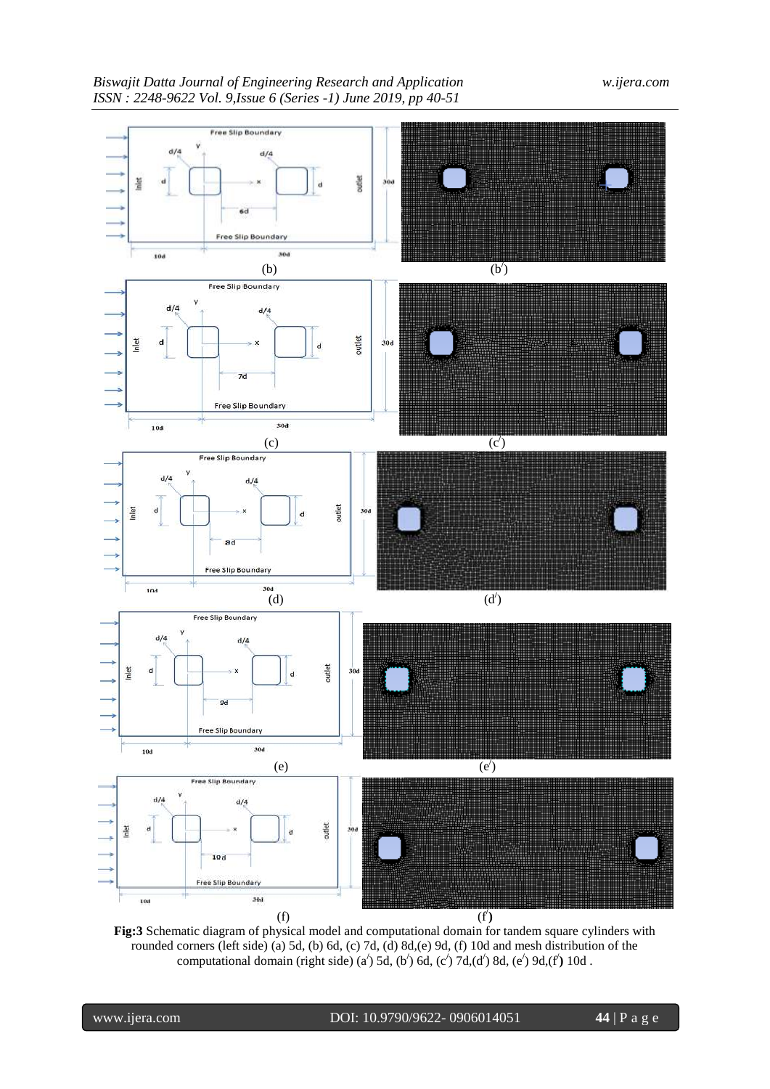

**Fig:3** Schematic diagram of physical model and computational domain for tandem square cylinders with rounded corners (left side) (a) 5d, (b) 6d, (c) 7d, (d) 8d,(e) 9d, (f) 10d and mesh distribution of the computational domain (right side) (a**/** ) 5d, (b**/** ) 6d, (c**/** ) 7d,(d**/** ) 8d, (e**/** ) 9d,(f**/ )** 10d .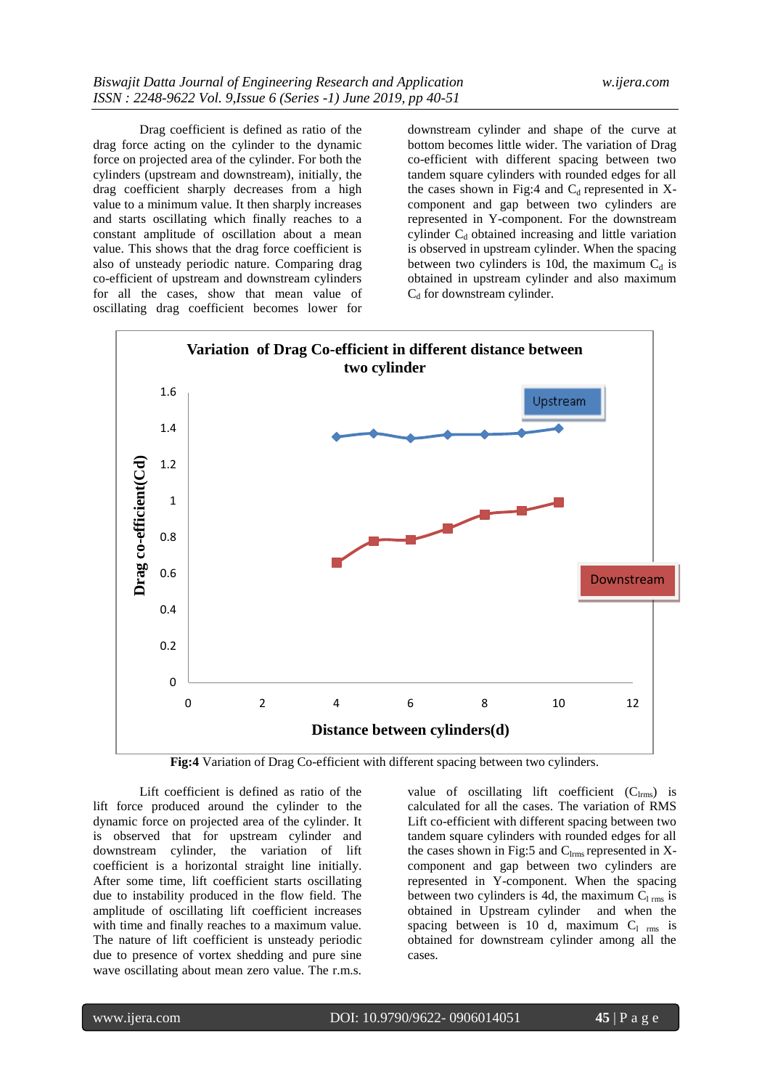Drag coefficient is defined as ratio of the drag force acting on the cylinder to the dynamic force on projected area of the cylinder. For both the cylinders (upstream and downstream), initially, the drag coefficient sharply decreases from a high value to a minimum value. It then sharply increases and starts oscillating which finally reaches to a constant amplitude of oscillation about a mean value. This shows that the drag force coefficient is also of unsteady periodic nature. Comparing drag co-efficient of upstream and downstream cylinders for all the cases, show that mean value of oscillating drag coefficient becomes lower for

downstream cylinder and shape of the curve at bottom becomes little wider. The variation of Drag co-efficient with different spacing between two tandem square cylinders with rounded edges for all the cases shown in Fig:4 and  $C_d$  represented in Xcomponent and gap between two cylinders are represented in Y-component. For the downstream cylinder  $C_d$  obtained increasing and little variation is observed in upstream cylinder. When the spacing between two cylinders is 10d, the maximum  $C_d$  is obtained in upstream cylinder and also maximum  $C_d$  for downstream cylinder.



**Fig:4** Variation of Drag Co-efficient with different spacing between two cylinders.

Lift coefficient is defined as ratio of the lift force produced around the cylinder to the dynamic force on projected area of the cylinder. It is observed that for upstream cylinder and downstream cylinder, the variation of lift coefficient is a horizontal straight line initially. After some time, lift coefficient starts oscillating due to instability produced in the flow field. The amplitude of oscillating lift coefficient increases with time and finally reaches to a maximum value. The nature of lift coefficient is unsteady periodic due to presence of vortex shedding and pure sine wave oscillating about mean zero value. The r.m.s.

value of oscillating lift coefficient  $(C_{\text{lrms}})$  is calculated for all the cases. The variation of RMS Lift co-efficient with different spacing between two tandem square cylinders with rounded edges for all the cases shown in Fig:5 and  $C_{lrms}$  represented in Xcomponent and gap between two cylinders are represented in Y-component. When the spacing between two cylinders is 4d, the maximum  $C_{1 \text{ rms}}$  is obtained in Upstream cylinder and when the spacing between is 10 d, maximum  $C_1$  rms is obtained for downstream cylinder among all the cases.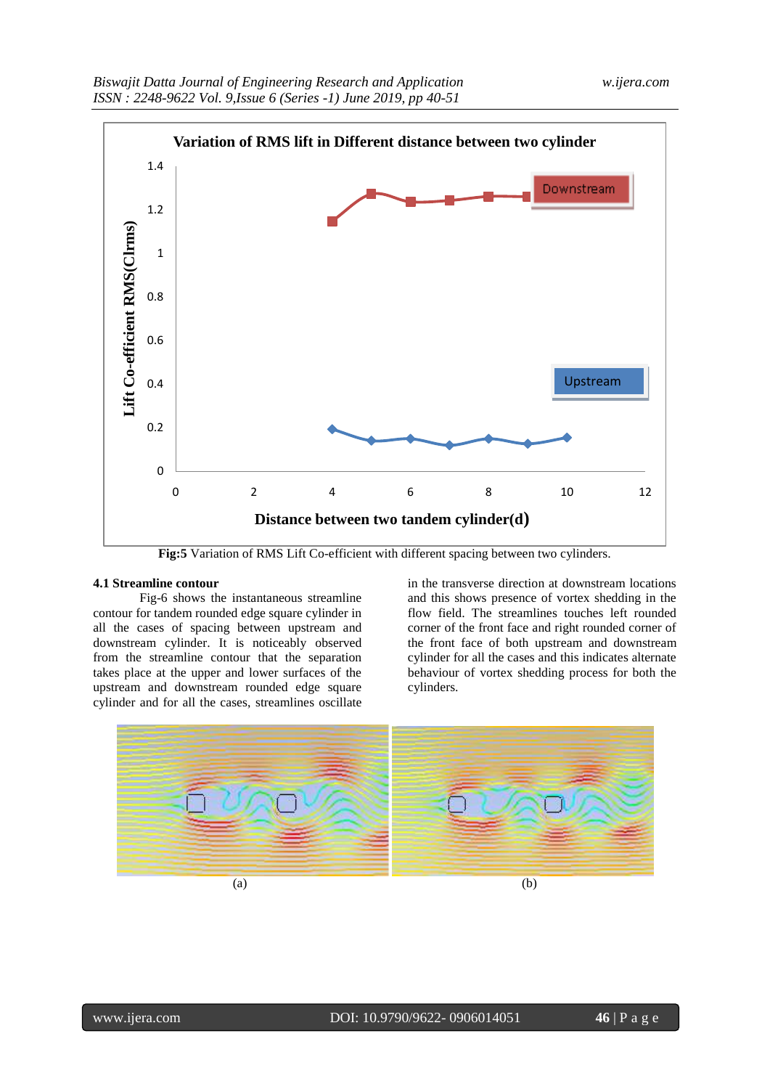

**Fig:5** Variation of RMS Lift Co-efficient with different spacing between two cylinders.

#### **4.1 Streamline contour**

Fig-6 shows the instantaneous streamline contour for tandem rounded edge square cylinder in all the cases of spacing between upstream and downstream cylinder. It is noticeably observed from the streamline contour that the separation takes place at the upper and lower surfaces of the upstream and downstream rounded edge square cylinder and for all the cases, streamlines oscillate

in the transverse direction at downstream locations and this shows presence of vortex shedding in the flow field. The streamlines touches left rounded corner of the front face and right rounded corner of the front face of both upstream and downstream cylinder for all the cases and this indicates alternate behaviour of vortex shedding process for both the cylinders.

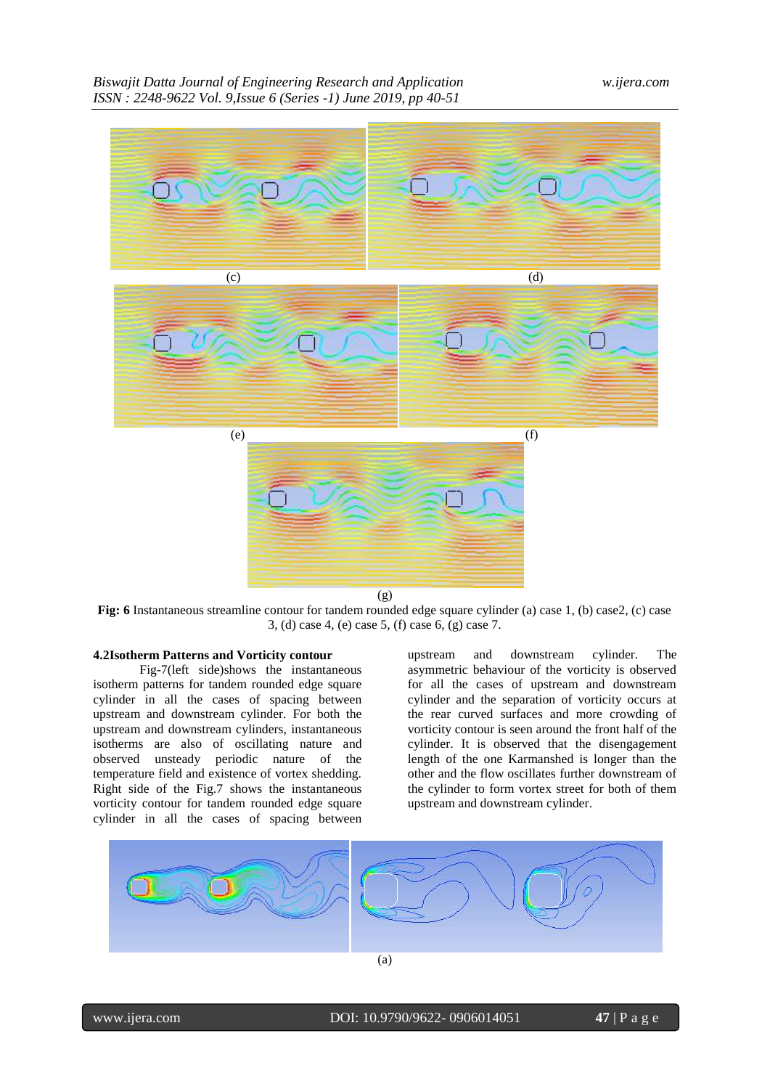

**Fig: 6** Instantaneous streamline contour for tandem rounded edge square cylinder (a) case 1, (b) case2, (c) case 3, (d) case 4, (e) case 5, (f) case 6, (g) case 7.

# **4.2Isotherm Patterns and Vorticity contour**

Fig-7(left side)shows the instantaneous isotherm patterns for tandem rounded edge square cylinder in all the cases of spacing between upstream and downstream cylinder. For both the upstream and downstream cylinders, instantaneous isotherms are also of oscillating nature and observed unsteady periodic nature of the temperature field and existence of vortex shedding. Right side of the Fig.7 shows the instantaneous vorticity contour for tandem rounded edge square cylinder in all the cases of spacing between

upstream and downstream cylinder. The asymmetric behaviour of the vorticity is observed for all the cases of upstream and downstream cylinder and the separation of vorticity occurs at the rear curved surfaces and more crowding of vorticity contour is seen around the front half of the cylinder. It is observed that the disengagement length of the one Karmanshed is longer than the other and the flow oscillates further downstream of the cylinder to form vortex street for both of them upstream and downstream cylinder.

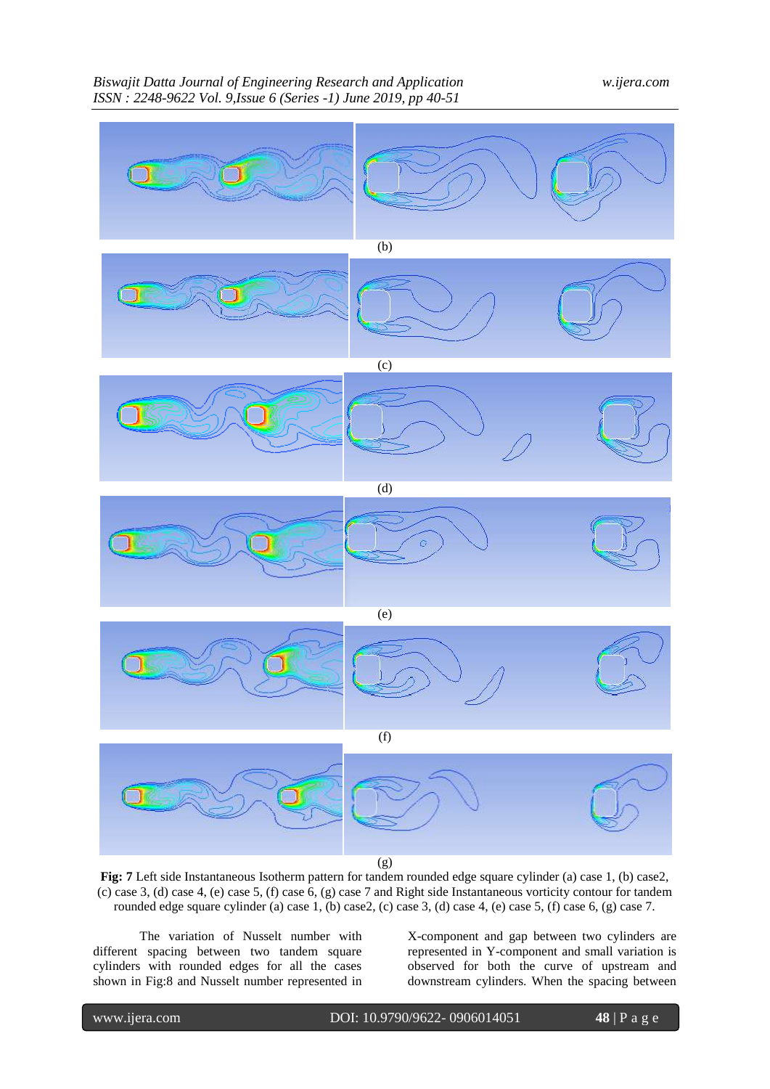

**Fig: 7** Left side Instantaneous Isotherm pattern for tandem rounded edge square cylinder (a) case 1, (b) case2, (c) case 3, (d) case 4, (e) case 5, (f) case 6, (g) case 7 and Right side Instantaneous vorticity contour for tandem rounded edge square cylinder (a) case 1, (b) case2, (c) case 3, (d) case 4, (e) case 5, (f) case 6, (g) case 7.

The variation of Nusselt number with different spacing between two tandem square cylinders with rounded edges for all the cases shown in Fig:8 and Nusselt number represented in X-component and gap between two cylinders are represented in Y-component and small variation is observed for both the curve of upstream and downstream cylinders. When the spacing between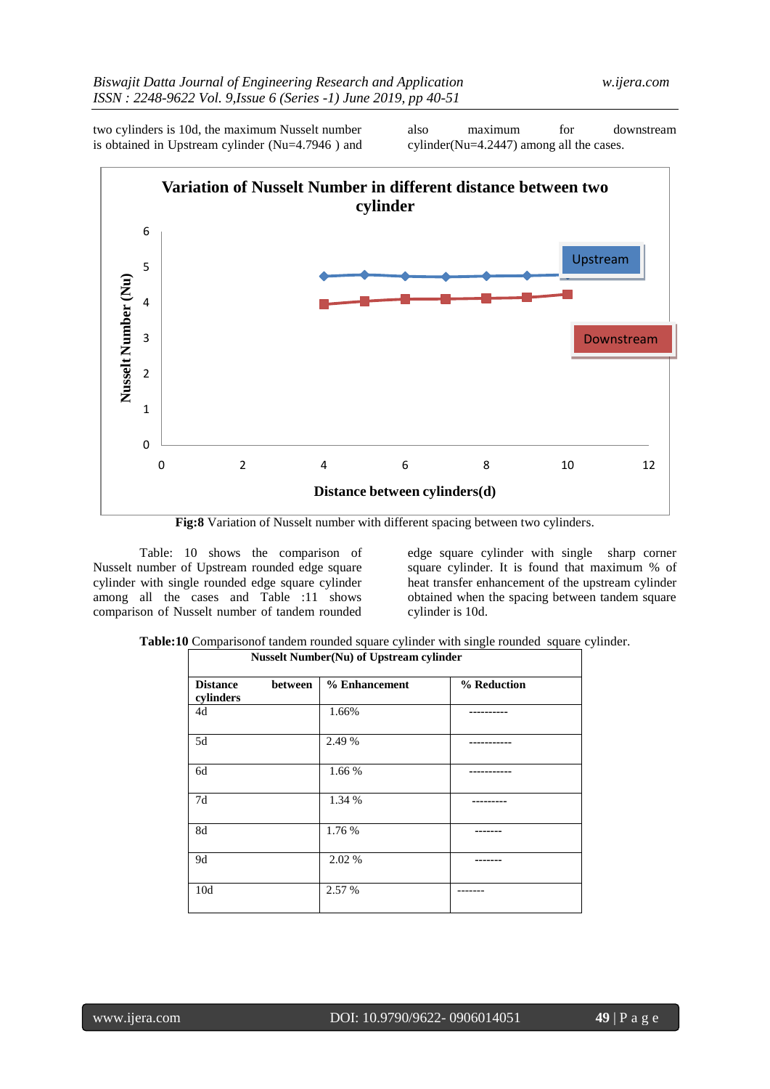two cylinders is 10d, the maximum Nusselt number is obtained in Upstream cylinder (Nu=4.7946 ) and

also maximum for downstream cylinder(Nu=4.2447) among all the cases.



**Fig:8** Variation of Nusselt number with different spacing between two cylinders.

Table: 10 shows the comparison of Nusselt number of Upstream rounded edge square cylinder with single rounded edge square cylinder among all the cases and Table :11 shows comparison of Nusselt number of tandem rounded

edge square cylinder with single sharp corner square cylinder. It is found that maximum % of heat transfer enhancement of the upstream cylinder obtained when the spacing between tandem square cylinder is 10d.

|  |  | Table:10 Comparison of tandem rounded square cylinder with single rounded square cylinder |  |
|--|--|-------------------------------------------------------------------------------------------|--|
|  |  |                                                                                           |  |

|                              |         |               | <b>Nusselt Number(Nu) of Upstream cylinder</b> |  |
|------------------------------|---------|---------------|------------------------------------------------|--|
| <b>Distance</b><br>cylinders | between | % Enhancement | % Reduction                                    |  |
| 4d                           |         | 1.66%         |                                                |  |
| 5d                           |         | 2.49 %        |                                                |  |
| 6d                           |         | 1.66 %        |                                                |  |
| 7d                           |         | 1.34 %        |                                                |  |
| 8d                           |         | 1.76 %        |                                                |  |
| 9d                           |         | 2.02 %        |                                                |  |
| 10d                          |         | 2.57 %        |                                                |  |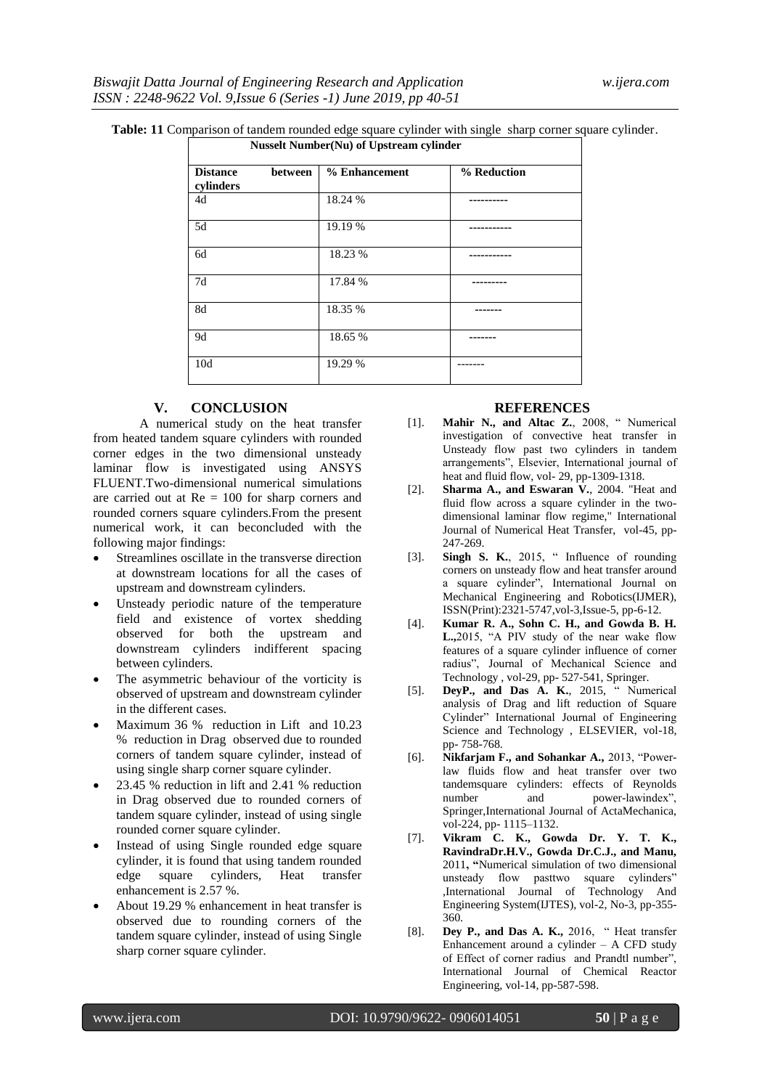| <b>Distance</b><br>cylinders | between | % Enhancement | % Reduction |
|------------------------------|---------|---------------|-------------|
| 4d                           |         | 18.24 %       |             |
| 5d                           |         | 19.19 %       |             |
| 6d                           |         | 18.23 %       |             |
| 7d                           |         | 17.84 %       |             |
| 8d                           |         | 18.35 %       |             |
| 9d                           |         | 18.65 %       |             |
| 10 <sub>d</sub>              |         | 19.29 %       |             |

# **Table: 11** Comparison of tandem rounded edge square cylinder with single sharp corner square cylinder.

### **V. CONCLUSION**

A numerical study on the heat transfer from heated tandem square cylinders with rounded corner edges in the two dimensional unsteady laminar flow is investigated using ANSYS FLUENT.Two-dimensional numerical simulations are carried out at  $Re = 100$  for sharp corners and rounded corners square cylinders.From the present numerical work, it can beconcluded with the following major findings:

- Streamlines oscillate in the transverse direction at downstream locations for all the cases of upstream and downstream cylinders.
- Unsteady periodic nature of the temperature field and existence of vortex shedding observed for both the upstream and downstream cylinders indifferent spacing between cylinders.
- The asymmetric behaviour of the vorticity is observed of upstream and downstream cylinder in the different cases.
- Maximum 36 % reduction in Lift and 10.23 % reduction in Drag observed due to rounded corners of tandem square cylinder, instead of using single sharp corner square cylinder.
- 23.45 % reduction in lift and 2.41 % reduction in Drag observed due to rounded corners of tandem square cylinder, instead of using single rounded corner square cylinder.
- Instead of using Single rounded edge square cylinder, it is found that using tandem rounded edge square cylinders, Heat transfer enhancement is 2.57 %.
- About 19.29 % enhancement in heat transfer is observed due to rounding corners of the tandem square cylinder, instead of using Single sharp corner square cylinder.

### **REFERENCES**

- [1]. **Mahir N., and Altac Z.**, 2008, "Numerical investigation of convective heat transfer in Unsteady flow past two cylinders in tandem arrangements‖, Elsevier, International journal of heat and fluid flow, vol- 29, pp-1309-1318.
- [2]. **Sharma A., and Eswaran V.**, 2004. "Heat and fluid flow across a square cylinder in the twodimensional laminar flow regime," International Journal of Numerical Heat Transfer, vol-45, pp-247-269.
- [3]. **Singh S. K.**, 2015, " Influence of rounding corners on unsteady flow and heat transfer around a square cylinder", International Journal on Mechanical Engineering and Robotics(IJMER), ISSN(Print):2321-5747,vol-3,Issue-5, pp-6-12.
- [4]. **Kumar R. A., Sohn C. H., and Gowda B. H. L.,**2015, "A PIV study of the near wake flow features of a square cylinder influence of corner radius", Journal of Mechanical Science and Technology , vol-29, pp- 527-541, Springer.
- [5]. **DeyP., and Das A. K.**, 2015, "Numerical analysis of Drag and lift reduction of Square Cylinder" International Journal of Engineering Science and Technology , ELSEVIER, vol-18, pp- 758-768.
- [6]. **Nikfarjam F., and Sohankar A., 2013**, "Powerlaw fluids flow and heat transfer over two tandemsquare cylinders: effects of Reynolds number and power-lawindex", Springer,International Journal of ActaMechanica, vol-224, pp- 1115–1132.
- [7]. **Vikram C. K., Gowda Dr. Y. T. K., RavindraDr.H.V., Gowda Dr.C.J., and Manu,** 2011**, "**Numerical simulation of two dimensional unsteady flow pasttwo square cylinders" ,International Journal of Technology And Engineering System(IJTES), vol-2, No-3, pp-355- 360.
- [8]. **Dey P., and Das A. K., 2016**, "Heat transfer Enhancement around a cylinder – A CFD study of Effect of corner radius and Prandtl number". International Journal of Chemical Reactor Engineering, vol-14, pp-587-598.